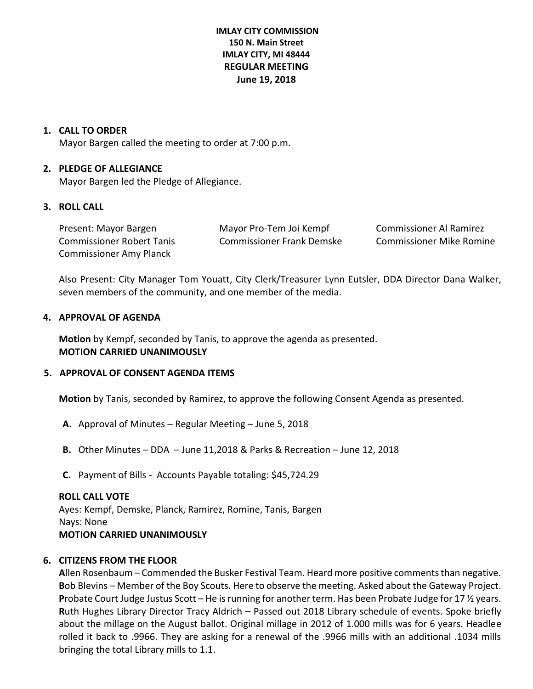# **IMLAY CITY COMMISSION 150 N. Main Street IMLAY CITY, MI 48444 REGULAR MEETING June 19, 2018**

### **1. CALL TO ORDER**

Mayor Bargen called the meeting to order at 7:00 p.m.

### **2. PLEDGE OF ALLEGIANCE**

Mayor Bargen led the Pledge of Allegiance.

### **3. ROLL CALL**

| Present: Mayor Bargen          | Mayor Pro-Tem Joi Kempf   | Commissioner Al Ramirez         |
|--------------------------------|---------------------------|---------------------------------|
| Commissioner Robert Tanis      | Commissioner Frank Demske | <b>Commissioner Mike Romine</b> |
| <b>Commissioner Amy Planck</b> |                           |                                 |

Also Present: City Manager Tom Youatt, City Clerk/Treasurer Lynn Eutsler, DDA Director Dana Walker, seven members of the community, and one member of the media.

### **4. APPROVAL OF AGENDA**

**Motion** by Kempf, seconded by Tanis, to approve the agenda as presented. **MOTION CARRIED UNANIMOUSLY**

#### **5. APPROVAL OF CONSENT AGENDA ITEMS**

**Motion** by Tanis, seconded by Ramirez, to approve the following Consent Agenda as presented.

- **A.** Approval of Minutes Regular Meeting June 5, 2018
- **B.** Other Minutes DDA June 11,2018 & Parks & Recreation June 12, 2018
- **C.** Payment of Bills Accounts Payable totaling: \$45,724.29

#### **ROLL CALL VOTE**

Ayes: Kempf, Demske, Planck, Ramirez, Romine, Tanis, Bargen Nays: None **MOTION CARRIED UNANIMOUSLY**

# **6. CITIZENS FROM THE FLOOR**

**A**llen Rosenbaum – Commended the Busker Festival Team. Heard more positive comments than negative. **B**ob Blevins – Member of the Boy Scouts. Here to observe the meeting. Asked about the Gateway Project. **P**robate Court Judge Justus Scott – He is running for another term. Has been Probate Judge for 17 ½ years. **R**uth Hughes Library Director Tracy Aldrich – Passed out 2018 Library schedule of events. Spoke briefly about the millage on the August ballot. Original millage in 2012 of 1.000 mills was for 6 years. Headlee rolled it back to .9966. They are asking for a renewal of the .9966 mills with an additional .1034 mills bringing the total Library mills to 1.1.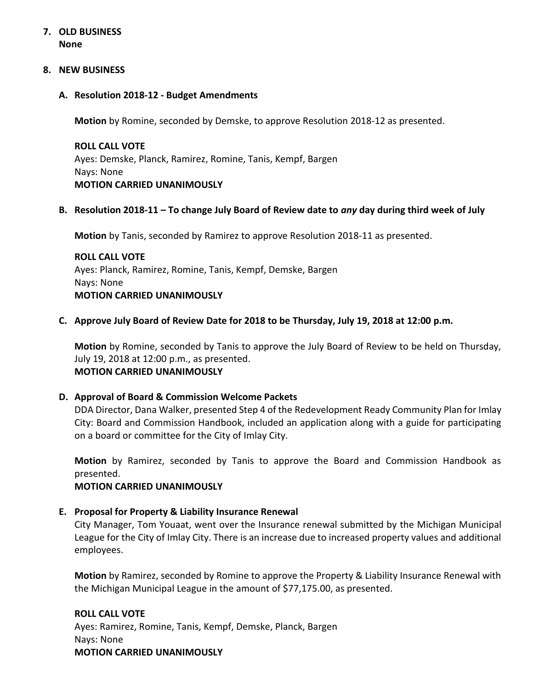# **7. OLD BUSINESS None**

### **8. NEW BUSINESS**

### **A. Resolution 2018-12 - Budget Amendments**

**Motion** by Romine, seconded by Demske, to approve Resolution 2018-12 as presented.

**ROLL CALL VOTE** Ayes: Demske, Planck, Ramirez, Romine, Tanis, Kempf, Bargen Nays: None **MOTION CARRIED UNANIMOUSLY**

# **B. Resolution 2018-11 – To change July Board of Review date to** *any* **day during third week of July**

**Motion** by Tanis, seconded by Ramirez to approve Resolution 2018-11 as presented.

**ROLL CALL VOTE** Ayes: Planck, Ramirez, Romine, Tanis, Kempf, Demske, Bargen Nays: None **MOTION CARRIED UNANIMOUSLY**

# **C. Approve July Board of Review Date for 2018 to be Thursday, July 19, 2018 at 12:00 p.m.**

**Motion** by Romine, seconded by Tanis to approve the July Board of Review to be held on Thursday, July 19, 2018 at 12:00 p.m., as presented. **MOTION CARRIED UNANIMOUSLY**

# **D. Approval of Board & Commission Welcome Packets**

DDA Director, Dana Walker, presented Step 4 of the Redevelopment Ready Community Plan for Imlay City: Board and Commission Handbook, included an application along with a guide for participating on a board or committee for the City of Imlay City.

**Motion** by Ramirez, seconded by Tanis to approve the Board and Commission Handbook as presented.

# **MOTION CARRIED UNANIMOUSLY**

# **E. Proposal for Property & Liability Insurance Renewal**

City Manager, Tom Youaat, went over the Insurance renewal submitted by the Michigan Municipal League for the City of Imlay City. There is an increase due to increased property values and additional employees.

**Motion** by Ramirez, seconded by Romine to approve the Property & Liability Insurance Renewal with the Michigan Municipal League in the amount of \$77,175.00, as presented.

#### **ROLL CALL VOTE**

Ayes: Ramirez, Romine, Tanis, Kempf, Demske, Planck, Bargen Nays: None **MOTION CARRIED UNANIMOUSLY**